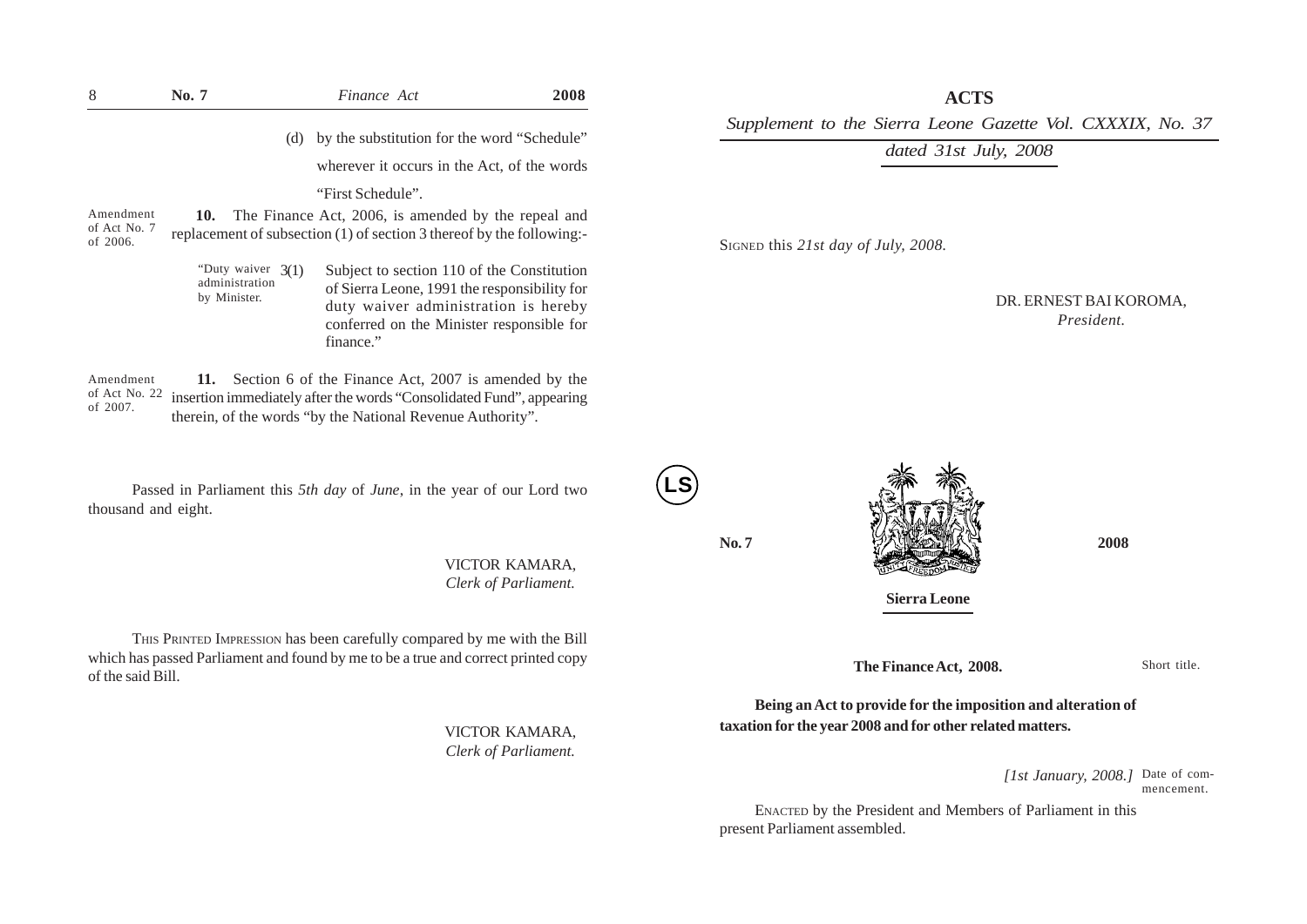| 8                                        | No. 7                                                 | Finance Act                                                                                                                                                                                  | 2008                                   |  |
|------------------------------------------|-------------------------------------------------------|----------------------------------------------------------------------------------------------------------------------------------------------------------------------------------------------|----------------------------------------|--|
|                                          |                                                       | by the substitution for the word "Schedule"<br>(d)                                                                                                                                           |                                        |  |
|                                          |                                                       | wherever it occurs in the Act, of the words                                                                                                                                                  |                                        |  |
|                                          |                                                       | "First Schedule".                                                                                                                                                                            |                                        |  |
| Amendment<br>of Act No. 7<br>of $2006$ . | <b>10.</b>                                            | The Finance Act, 2006, is amended by the repeal and<br>replacement of subsection (1) of section 3 thereof by the following:-                                                                 |                                        |  |
|                                          | "Duty waiver $3(1)$<br>administration<br>by Minister. | Subject to section 110 of the Constitution<br>of Sierra Leone, 1991 the responsibility for<br>duty waiver administration is hereby<br>conferred on the Minister responsible for<br>finance." |                                        |  |
| Amendment<br>of Act No. 22<br>of 2007.   | 11.                                                   | Section 6 of the Finance Act, 2007 is amended by the<br>insertion immediately after the words "Consolidated Fund", appearing<br>therein, of the words "by the National Revenue Authority".   |                                        |  |
| thousand and eight.                      |                                                       | Passed in Parliament this 5th day of June, in the year of our Lord two                                                                                                                       |                                        |  |
|                                          |                                                       |                                                                                                                                                                                              | VICTOR KAMARA.<br>Clerk of Parliament. |  |
| of the said Bill.                        |                                                       | THIS PRINTED IMPRESSION has been carefully compared by me with the Bill<br>which has passed Parliament and found by me to be a true and correct printed copy                                 |                                        |  |

VICTOR KAMARA, *Clerk of Parliament.*

**ACTS** *Supplement to the Sierra Leone Gazette Vol. CXXXIX, No. 37*

*dated 31st July, 2008*

SIGNED this *21st day of July, 2008.*

DR. ERNEST BAI KOROMA, *President.*





**Sierra Leone**

**The Finance Act, 2008.**

Short title.

**Being an Act to provide for the imposition and alteration of taxation for the year 2008 and for other related matters.**

> *[1st January, 2008.]* Date of commencement.

ENACTED by the President and Members of Parliament in this present Parliament assembled.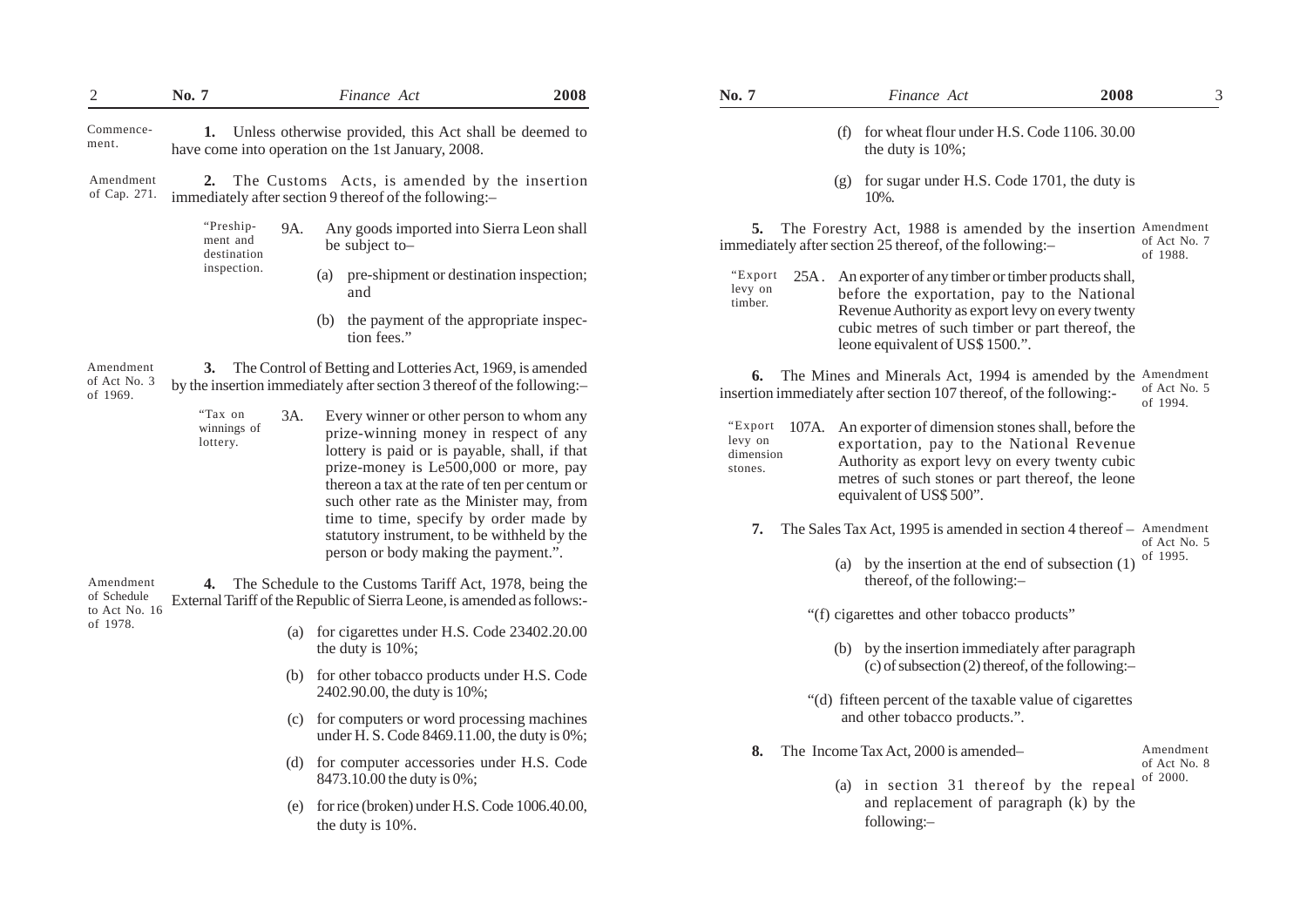| $\overline{c}$                                                                                                                                                                    | No. 7                                                                                                           | Finance Act                                                                                                                                                                                                                                                                | 2008 | No. 7                                                                                                                                                                 | Finance Act                                                                                                                                                                                                                           | 2008                                  |  |
|-----------------------------------------------------------------------------------------------------------------------------------------------------------------------------------|-----------------------------------------------------------------------------------------------------------------|----------------------------------------------------------------------------------------------------------------------------------------------------------------------------------------------------------------------------------------------------------------------------|------|-----------------------------------------------------------------------------------------------------------------------------------------------------------------------|---------------------------------------------------------------------------------------------------------------------------------------------------------------------------------------------------------------------------------------|---------------------------------------|--|
| Commence-<br>ment.                                                                                                                                                                | 1. Unless otherwise provided, this Act shall be deemed to<br>have come into operation on the 1st January, 2008. |                                                                                                                                                                                                                                                                            |      | (f) for wheat flour under H.S. Code 1106. 30.00<br>the duty is $10\%$ ;                                                                                               |                                                                                                                                                                                                                                       |                                       |  |
| Amendment<br>of Cap. 271.                                                                                                                                                         |                                                                                                                 | 2. The Customs Acts, is amended by the insertion<br>immediately after section 9 thereof of the following:-                                                                                                                                                                 |      |                                                                                                                                                                       | for sugar under H.S. Code 1701, the duty is<br>(g)<br>10%.                                                                                                                                                                            |                                       |  |
|                                                                                                                                                                                   | "Preship-<br>9A.<br>ment and<br>destination                                                                     | Any goods imported into Sierra Leon shall<br>be subject to-                                                                                                                                                                                                                |      | 5. The Forestry Act, 1988 is amended by the insertion Amendment<br>of Act No. 7<br>immediately after section 25 thereof, of the following:-<br>of 1988.               |                                                                                                                                                                                                                                       |                                       |  |
|                                                                                                                                                                                   | inspection.                                                                                                     | pre-shipment or destination inspection;<br>(a)<br>and                                                                                                                                                                                                                      |      | "Export"<br>levy on<br>timber.                                                                                                                                        | 25A. An exporter of any timber or timber products shall,<br>before the exportation, pay to the National                                                                                                                               |                                       |  |
|                                                                                                                                                                                   |                                                                                                                 | the payment of the appropriate inspec-<br>(b)<br>tion fees."                                                                                                                                                                                                               |      |                                                                                                                                                                       | Revenue Authority as export levy on every twenty<br>cubic metres of such timber or part thereof, the<br>leone equivalent of US\$ 1500.".                                                                                              |                                       |  |
| 3. The Control of Betting and Lotteries Act, 1969, is amended<br>Amendment<br>of Act No. 3<br>by the insertion immediately after section 3 thereof of the following:-<br>of 1969. |                                                                                                                 |                                                                                                                                                                                                                                                                            |      | The Mines and Minerals Act, 1994 is amended by the Amendment<br>6.<br>of Act No. 5<br>insertion immediately after section 107 thereof, of the following:-<br>of 1994. |                                                                                                                                                                                                                                       |                                       |  |
|                                                                                                                                                                                   | "Tax on<br>3A.<br>winnings of<br>lottery.                                                                       | Every winner or other person to whom any<br>prize-winning money in respect of any<br>lottery is paid or is payable, shall, if that<br>prize-money is Le500,000 or more, pay<br>thereon a tax at the rate of ten per centum or<br>such other rate as the Minister may, from |      | "Export<br>levy on<br>dimension<br>stones.                                                                                                                            | 107A. An exporter of dimension stones shall, before the<br>exportation, pay to the National Revenue<br>Authority as export levy on every twenty cubic<br>metres of such stones or part thereof, the leone<br>equivalent of US\$ 500". |                                       |  |
|                                                                                                                                                                                   |                                                                                                                 | time to time, specify by order made by<br>statutory instrument, to be withheld by the<br>person or body making the payment.".                                                                                                                                              |      | 7.                                                                                                                                                                    | The Sales Tax Act, 1995 is amended in section 4 thereof - Amendment<br>(a) by the insertion at the end of subsection (1)                                                                                                              | of Act No. 5<br>of 1995.              |  |
| Amendment<br>4. The Schedule to the Customs Tariff Act, 1978, being the<br>of Schedule<br>External Tariff of the Republic of Sierra Leone, is amended as follows:-                |                                                                                                                 |                                                                                                                                                                                                                                                                            |      | thereof, of the following:-                                                                                                                                           |                                                                                                                                                                                                                                       |                                       |  |
| to Act No. 16<br>of 1978.                                                                                                                                                         |                                                                                                                 |                                                                                                                                                                                                                                                                            |      |                                                                                                                                                                       | "(f) cigarettes and other tobacco products"                                                                                                                                                                                           |                                       |  |
|                                                                                                                                                                                   | (a) for cigarettes under H.S. Code 23402.20.00<br>the duty is $10\%$ ;                                          |                                                                                                                                                                                                                                                                            |      |                                                                                                                                                                       | (b) by the insertion immediately after paragraph                                                                                                                                                                                      |                                       |  |
|                                                                                                                                                                                   |                                                                                                                 | (b) for other tobacco products under H.S. Code<br>2402.90.00, the duty is 10%;                                                                                                                                                                                             |      | (c) of subsection $(2)$ thereof, of the following:-                                                                                                                   |                                                                                                                                                                                                                                       |                                       |  |
|                                                                                                                                                                                   | (c)                                                                                                             |                                                                                                                                                                                                                                                                            |      |                                                                                                                                                                       | "(d) fifteen percent of the taxable value of cigarettes                                                                                                                                                                               |                                       |  |
|                                                                                                                                                                                   |                                                                                                                 | for computers or word processing machines<br>under H. S. Code 8469.11.00, the duty is 0%;                                                                                                                                                                                  |      |                                                                                                                                                                       | and other tobacco products.".                                                                                                                                                                                                         |                                       |  |
|                                                                                                                                                                                   |                                                                                                                 | (d) for computer accessories under H.S. Code<br>8473.10.00 the duty is 0%;                                                                                                                                                                                                 |      | 8.                                                                                                                                                                    | The Income Tax Act, 2000 is amended-                                                                                                                                                                                                  | Amendment<br>of Act No. 8<br>of 2000. |  |
|                                                                                                                                                                                   | (e)                                                                                                             | for rice (broken) under H.S. Code 1006.40.00,<br>the duty is 10%.                                                                                                                                                                                                          |      |                                                                                                                                                                       | (a) in section 31 thereof by the repeal<br>and replacement of paragraph (k) by the<br>following:-                                                                                                                                     |                                       |  |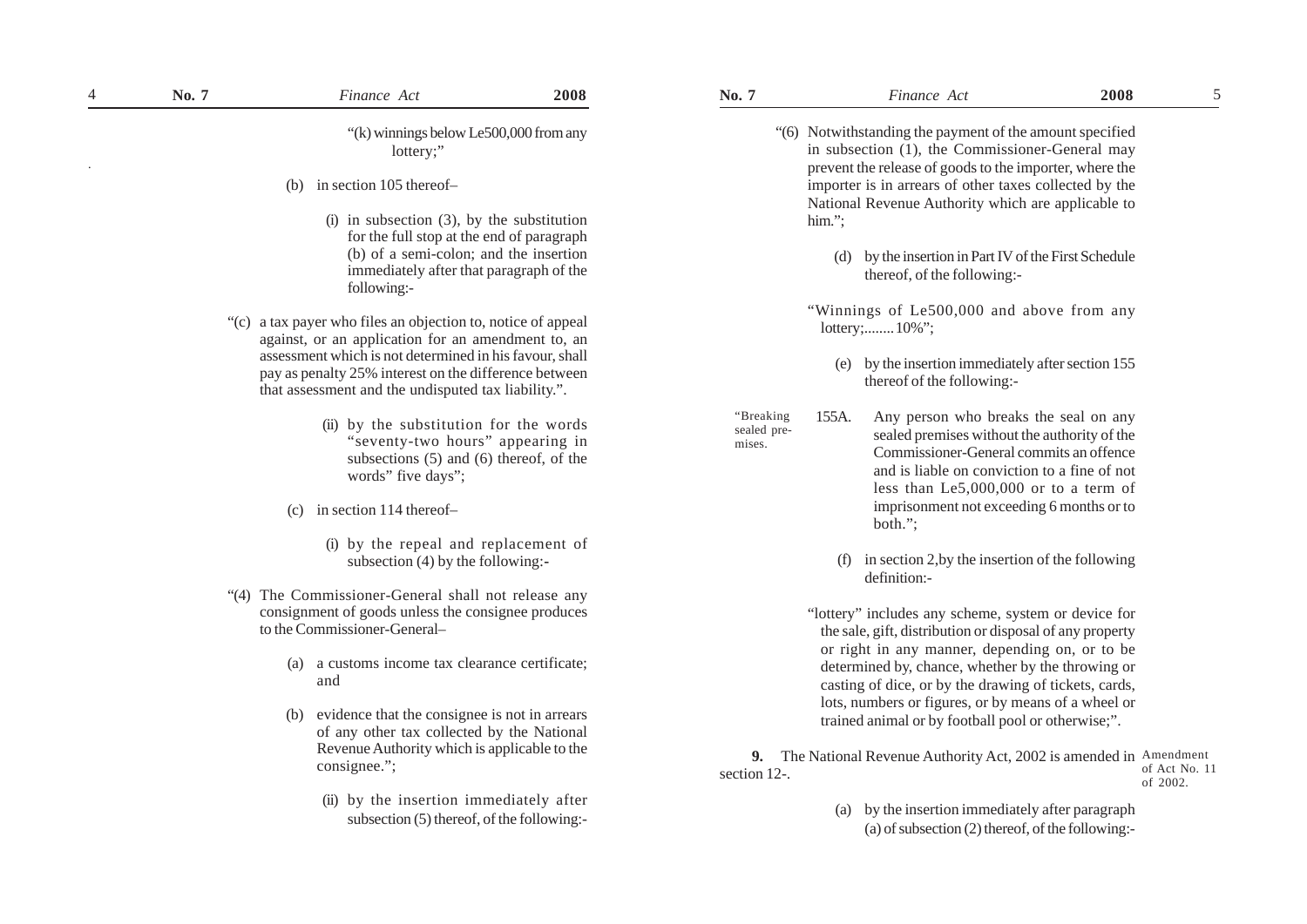.

mises.

5

- "(k) winnings below Le500,000 from any lottery;"
- (b) in section 105 thereof–
	- (i) in subsection (3), by the substitution for the full stop at the end of paragraph (b) of a semi-colon; and the insertion immediately after that paragraph of the following:-
- "(c) a tax payer who files an objection to, notice of appeal against, or an application for an amendment to, an assessment which is not determined in his favour, shall pay as penalty 25% interest on the difference between that assessment and the undisputed tax liability.".
	- (ii) by the substitution for the words "seventy-two hours" appearing in subsections (5) and (6) thereof, of the words" five days";
	- (c) in section 114 thereof–
		- (i) by the repeal and replacement of subsection (4) by the following: **-**
- "(4) The Commissioner-General shall not release any consignment of goods unless the consignee produces to the Commissioner-General–
	- (a) a customs income tax clearance certificate; and
	- (b) evidence that the consignee is not in arrears of any other tax collected by the National Revenue Authority which is applicable to the consignee.";
		- (ii) by the insertion immediately after subsection (5) thereof, of the following:-
- "(6) Notwithstanding the payment of the amount specified in subsection (1), the Commissioner-General may prevent the release of goods to the importer, where the importer is in arrears of other taxes collected by the National Revenue Authority which are applicable to him.":
	- (d) by the insertion in Part IV of the First Schedule thereof, of the following:-
	- "Winnings of Le500,000 and above from any lottery;........10%";
		- (e) by the insertion immediately after section 155 thereof of the following:-

155A. Any person who breaks the seal on any sealed premises without the authority of the Commissioner-General commits an offence and is liable on conviction to a fine of not less than Le5,000,000 or to a term of imprisonment not exceeding 6 months or to both."; "Breaking sealed pre-

- (f) in section 2,by the insertion of the following definition:-
- "lottery" includes any scheme, system or device for the sale, gift, distribution or disposal of any property or right in any manner, depending on, or to be determined by, chance, whether by the throwing or casting of dice, or by the drawing of tickets, cards, lots, numbers or figures, or by means of a wheel or trained animal or by football pool or otherwise;".

**9.** The National Revenue Authority Act, 2002 is amended in Amendment section 12-. of Act No. 11 of 2002.

> (a) by the insertion immediately after paragraph (a) of subsection (2) thereof, of the following:-